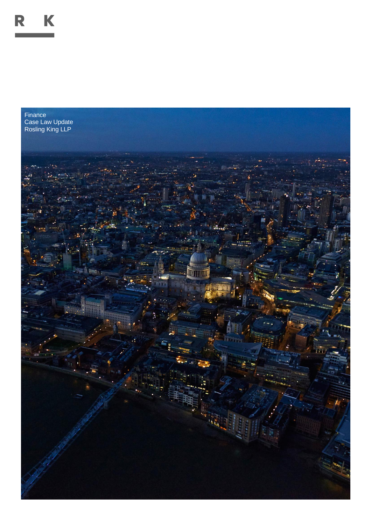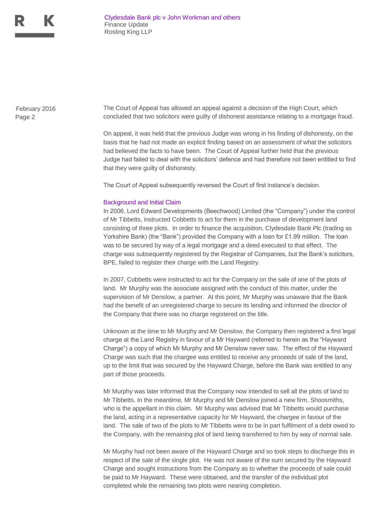

Page 2

February 2016 The Court of Appeal has allowed an appeal against a decision of the High Court, which concluded that two solicitors were guilty of dishonest assistance relating to a mortgage fraud.

> On appeal, it was held that the previous Judge was wrong in his finding of dishonesty, on the basis that he had not made an explicit finding based on an assessment of what the solicitors had believed the facts to have been. The Court of Appeal further held that the previous Judge had failed to deal with the solicitors' defence and had therefore not been entitled to find that they were guilty of dishonesty.

The Court of Appeal subsequently reversed the Court of first instance's decision.

## Background and Initial Claim

In 2006, Lord Edward Developments (Beechwood) Limited (the "Company") under the control of Mr Tibbetts, instructed Cobbetts to act for them in the purchase of development land consisting of three plots. In order to finance the acquisition, Clydesdale Bank Plc (trading as Yorkshire Bank) (the "Bank") provided the Company with a loan for £1.99 million. The loan was to be secured by way of a legal mortgage and a deed executed to that effect. The charge was subsequently registered by the Registrar of Companies, but the Bank's solicitors, BPE, failed to register their charge with the Land Registry.

In 2007, Cobbetts were instructed to act for the Company on the sale of one of the plots of land. Mr Murphy was the associate assigned with the conduct of this matter, under the supervision of Mr Denslow, a partner. At this point, Mr Murphy was unaware that the Bank had the benefit of an unregistered charge to secure its lending and informed the director of the Company that there was no charge registered on the title.

Unknown at the time to Mr Murphy and Mr Denslow, the Company then registered a first legal charge at the Land Registry in favour of a Mr Hayward (referred to herein as the "Hayward Charge") a copy of which Mr Murphy and Mr Denslow never saw. The effect of the Hayward Charge was such that the chargee was entitled to receive any proceeds of sale of the land, up to the limit that was secured by the Hayward Charge, before the Bank was entitled to any part of those proceeds.

Mr Murphy was later informed that the Company now intended to sell all the plots of land to Mr Tibbetts. In the meantime, Mr Murphy and Mr Denslow joined a new firm, Shoosmiths, who is the appellant in this claim. Mr Murphy was advised that Mr Tibbetts would purchase the land, acting in a representative capacity for Mr Hayward, the chargee in favour of the land. The sale of two of the plots to Mr Tibbetts were to be in part fulfilment of a debt owed to the Company, with the remaining plot of land being transferred to him by way of normal sale.

Mr Murphy had not been aware of the Hayward Charge and so took steps to discharge this in respect of the sale of the single plot. He was not aware of the sum secured by the Hayward Charge and sought instructions from the Company as to whether the proceeds of sale could be paid to Mr Hayward. These were obtained, and the transfer of the individual plot completed while the remaining two plots were nearing completion.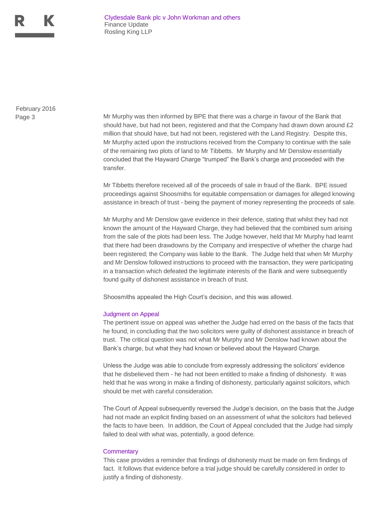

Page 3 February 2016

Mr Murphy was then informed by BPE that there was a charge in favour of the Bank that should have, but had not been, registered and that the Company had drawn down around £2 million that should have, but had not been, registered with the Land Registry. Despite this, Mr Murphy acted upon the instructions received from the Company to continue with the sale of the remaining two plots of land to Mr Tibbetts. Mr Murphy and Mr Denslow essentially concluded that the Hayward Charge "trumped" the Bank's charge and proceeded with the transfer.

Mr Tibbetts therefore received all of the proceeds of sale in fraud of the Bank. BPE issued proceedings against Shoosmiths for equitable compensation or damages for alleged knowing assistance in breach of trust - being the payment of money representing the proceeds of sale.

Mr Murphy and Mr Denslow gave evidence in their defence, stating that whilst they had not known the amount of the Hayward Charge, they had believed that the combined sum arising from the sale of the plots had been less. The Judge however, held that Mr Murphy had learnt that there had been drawdowns by the Company and irrespective of whether the charge had been registered; the Company was liable to the Bank. The Judge held that when Mr Murphy and Mr Denslow followed instructions to proceed with the transaction, they were participating in a transaction which defeated the legitimate interests of the Bank and were subsequently found guilty of dishonest assistance in breach of trust.

Shoosmiths appealed the High Court's decision, and this was allowed.

## Judgment on Appeal

The pertinent issue on appeal was whether the Judge had erred on the basis of the facts that he found, in concluding that the two solicitors were guilty of dishonest assistance in breach of trust. The critical question was not what Mr Murphy and Mr Denslow had known about the Bank's charge, but what they had known or believed about the Hayward Charge.

Unless the Judge was able to conclude from expressly addressing the solicitors' evidence that he disbelieved them - he had not been entitled to make a finding of dishonesty. It was held that he was wrong in make a finding of dishonesty, particularly against solicitors, which should be met with careful consideration.

The Court of Appeal subsequently reversed the Judge's decision, on the basis that the Judge had not made an explicit finding based on an assessment of what the solicitors had believed the facts to have been. In addition, the Court of Appeal concluded that the Judge had simply failed to deal with what was, potentially, a good defence.

## **Commentary**

This case provides a reminder that findings of dishonesty must be made on firm findings of fact. It follows that evidence before a trial judge should be carefully considered in order to justify a finding of dishonesty.